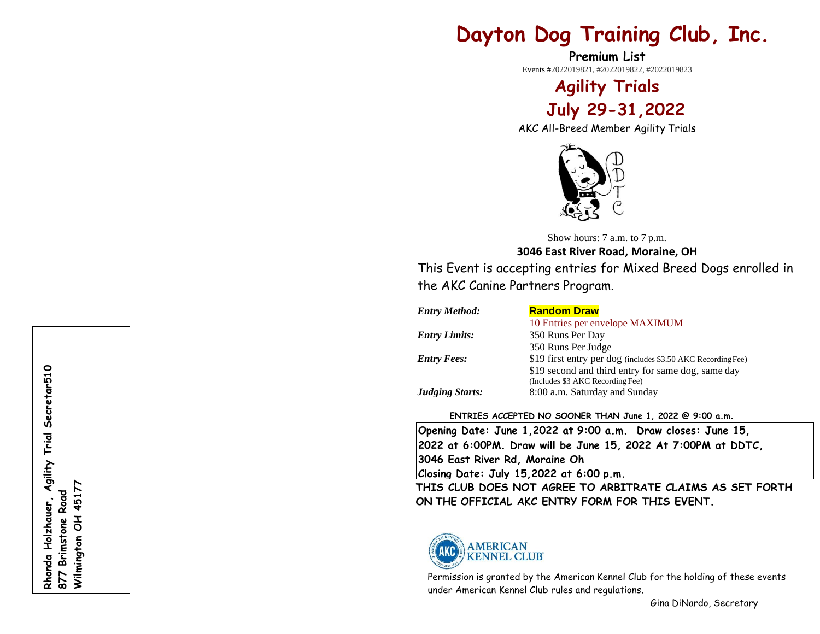# **Dayton Dog Training Club, Inc.**

**Premium List** Events #2022019821, #2022019822, #2022019823

> **Agility Trials July 29 -31 ,20 2 2**

AKC All -Breed Member Agility Trials



Show hours: 7 a.m. to 7 p.m. **304 6 East River Road, Moraine, OH**

This Event is accepting entries for Mixed Breed Dogs enrolled in the AKC Canine Partners Program.

| <b>Entry Method:</b>   | <b>Random Draw</b>                                           |
|------------------------|--------------------------------------------------------------|
|                        | 10 Entries per envelope MAXIMUM                              |
| <b>Entry Limits:</b>   | 350 Runs Per Day                                             |
|                        | 350 Runs Per Judge                                           |
| <b>Entry Fees:</b>     | \$19 first entry per dog (includes \$3.50 AKC Recording Fee) |
|                        | \$19 second and third entry for same dog, same day           |
|                        | (Includes \$3 AKC Recording Fee)                             |
| <b>Judging Starts:</b> | 8:00 a.m. Saturday and Sunday                                |

# **ENTRIES ACCEPTED NO SOONER THAN June 1 , 20 2 2 @ 9:00 a.m.**

**Opening Date: June 1,20 2 2 at 9:00 a.m. Draw closes: June 15, 2022 at 6:00PM. Draw will be June 15, 2022 At 7:00PM at DDTC, 304 6 East River Rd, Moraine Oh Closing Date: July 15 ,20 2 2 at 6:00 p.m.**

**THIS CLUB DOES NOT AGREE TO ARBITRATE CLAIMS AS SET FORTH ON THE OFFICIAL AKC ENTRY FORM FOR THIS EVENT.**



Permission is granted by the American Kennel Club for the holding of these events under American Kennel Club rules and regulations.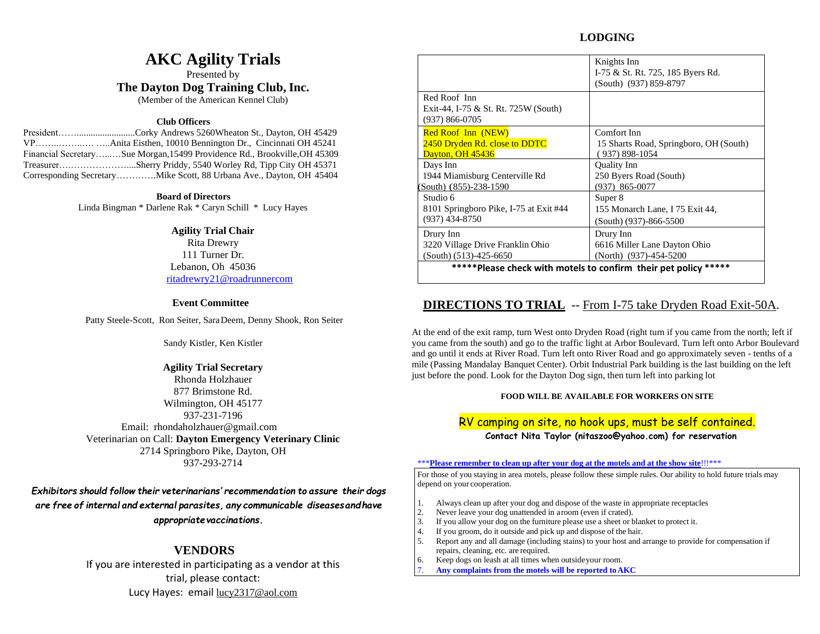# **LODGING**

# **AKC Agility Trials**

Presented by **The Dayton Dog Training Club, Inc.**

(Member of the American Kennel Club)

### **Club Officers**

President…….........................Corky Andrews 5260Wheaton St., Dayton, OH 45429 VP……..……..…. …..Anita Eisthen, 10010 Bennington Dr., Cincinnati OH 45241 Financial Secretary…...…Sue Morgan,15499 Providence Rd., Brookville,OH 45309 Treasurer….………………....Sherry Priddy, 5540 Worley Rd, Tipp City OH 45371 Corresponding Secretary………….Mike Scott, 88 Urbana Ave., Dayton, OH 45404

### **Board of Directors**

Linda Bingman \* Darlene Rak \* Caryn Schill \* Lucy Hayes

### **Agility Trial Chair**

Rita Drewry 111 Turner Dr. Lebanon, Oh 45036 [ritadrewry21@roadrunnercom](mailto:wetry4par@aol.com)

### **Event Committee**

Patty Steele-Scott, Ron Seiter, SaraDeem, Denny Shook, Ron Seiter

Sandy Kistler, Ken Kistler

## **Agility Trial Secretary**

Rhonda Holzhauer 877 Brimstone Rd. Wilmington, OH 45177 937-231-7196 Email: rhondaholzhauer@gmail.com Veterinarian on Call: **Dayton Emergency Veterinary Clinic** 2714 Springboro Pike, Dayton, OH 937-293-2714

*Exhibitors should follow their veterinarians' recommendation to assure their dogs are free of internal and external parasites, any communicable diseasesandhave appropriatevaccinations.*

# **VENDORS**

If you are interested in participating as a vendor at this trial, please contact: Lucy Hayes: email [lucy2317@aol.com](mailto:lucy2317@aol.com)

|                                                                            | Knights Inn<br>I-75 & St. Rt. 725, 185 Byers Rd.<br>(South) (937) 859-8797 |
|----------------------------------------------------------------------------|----------------------------------------------------------------------------|
| Red Roof Inn<br>Exit-44, I-75 & St. Rt. 725W (South)<br>$(937) 866 - 0705$ |                                                                            |
| <b>Red Roof Inn (NEW)</b>                                                  | Comfort Inn                                                                |
| 2450 Dryden Rd. close to DDTC                                              | 15 Sharts Road, Springboro, OH (South)                                     |
| <b>Dayton, OH 45436</b>                                                    | 937) 898-1054                                                              |
| Days Inn                                                                   | Quality Inn                                                                |
| 1944 Miamisburg Centerville Rd                                             | 250 Byers Road (South)                                                     |
| (South) (855)-238-1590                                                     | (937) 865-0077                                                             |
| Studio 6                                                                   | Super 8                                                                    |
| 8101 Springboro Pike, I-75 at Exit #44                                     | 155 Monarch Lane, I 75 Exit 44,                                            |
| $(937)$ 434-8750                                                           | (South) (937)-866-5500                                                     |
| Drury Inn                                                                  | Drury Inn                                                                  |
| 3220 Village Drive Franklin Ohio                                           | 6616 Miller Lane Dayton Ohio                                               |
| $(South) (513) - 425 - 6650$                                               | (North) (937)-454-5200                                                     |
|                                                                            | *****Please check with motels to confirm their pet policy *****            |

# **DIRECTIONS TO TRIAL** -- From I-75 take Dryden Road Exit-50A.

At the end of the exit ramp, turn West onto Dryden Road (right turn if you came from the north; left if you came from the south) and go to the traffic light at Arbor Boulevard. Turn left onto Arbor Boulevard and go until it ends at River Road. Turn left onto River Road and go approximately seven - tenths of a mile (Passing Mandalay Banquet Center). Orbit Industrial Park building is the last building on the left just before the pond. Look for the Dayton Dog sign, then turn left into parking lot

### **FOOD WILL BE AVAILABLE FOR WORKERS ON SITE**

# RV camping on site, no hook ups, must be self contained.

**Contact Nita Taylor (nitaszoo@yahoo.com) for reservation**

#### \*\*\***Please remember to clean up after your dog at the motels and at the show site**!!!\*\*\*

For those of you staying in area motels, please follow these simple rules. Our ability to hold future trials may depend on your cooperation.

- 1. Always clean up after your dog and dispose of the waste in appropriate receptacles
- 2. Never leave your dog unattended in aroom (even if crated).
- 3. If you allow your dog on the furniture please use a sheet or blanket to protect it.
- 4. If you groom, do it outside and pick up and dispose of the hair.
- 5. Report any and all damage (including stains) to your host and arrange to provide for compensation if repairs, cleaning, etc. are required.
- 6. Keep dogs on leash at all times when outsideyour room.
- 7. **Any complaints from the motels will be reported toAKC**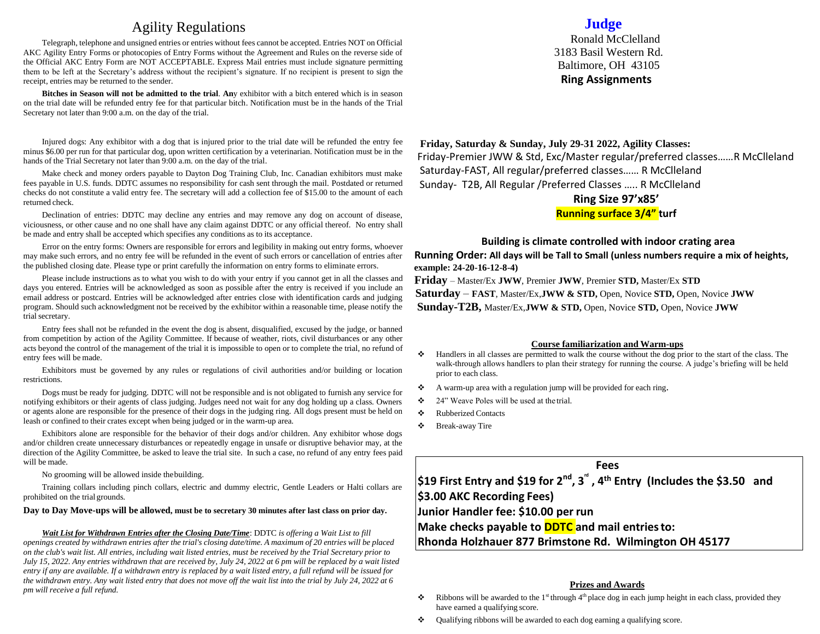# Agility Regulations

Telegraph, telephone and unsigned entries or entries without fees cannot be accepted. Entries NOT on Official AKC Agility Entry Forms or photocopies of Entry Forms without the Agreement and Rules on the reverse side of the Official AKC Entry Form are NOT ACCEPTABLE. Express Mail entries must include signature permitting them to be left at the Secretary's address without the recipient's signature. If no recipient is present to sign the receipt, entries may be returned to the sender.

**Bitches in Season will not be admitted to the trial**. **An**y exhibitor with a bitch entered which is in season on the trial date will be refunded entry fee for that particular bitch. Notification must be in the hands of the Trial Secretary not later than 9:00 a.m. on the day of the trial.

Injured dogs: Any exhibitor with a dog that is injured prior to the trial date will be refunded the entry fee minus \$6.00 per run for that particular dog, upon written certification by a veterinarian. Notification must be in the hands of the Trial Secretary not later than 9:00 a.m. on the day of the trial.

Make check and money orders payable to Dayton Dog Training Club, Inc. Canadian exhibitors must make fees payable in U.S. funds. DDTC assumes no responsibility for cash sent through the mail. Postdated or returned checks do not constitute a valid entry fee. The secretary will add a collection fee of \$15.00 to the amount of each returned check.

Declination of entries: DDTC may decline any entries and may remove any dog on account of disease, viciousness, or other cause and no one shall have any claim against DDTC or any official thereof. No entry shall be made and entry shall be accepted which specifies any conditions as to its acceptance.

Error on the entry forms: Owners are responsible for errors and legibility in making out entry forms, whoever may make such errors, and no entry fee will be refunded in the event of such errors or cancellation of entries after the published closing date. Please type or print carefully the information on entry forms to eliminate errors.

Please include instructions as to what you wish to do with your entry if you cannot get in all the classes and days you entered. Entries will be acknowledged as soon as possible after the entry is received if you include an email address or postcard. Entries will be acknowledged after entries close with identification cards and judging program. Should such acknowledgment not be received by the exhibitor within a reasonable time, please notify the trial secretary.

Entry fees shall not be refunded in the event the dog is absent, disqualified, excused by the judge, or banned from competition by action of the Agility Committee. If because of weather, riots, civil disturbances or any other acts beyond the control of the management of the trial it is impossible to open or to complete the trial, no refund of entry fees will be made.

Exhibitors must be governed by any rules or regulations of civil authorities and/or building or location restrictions.

Dogs must be ready for judging. DDTC will not be responsible and is not obligated to furnish any service for notifying exhibitors or their agents of class judging. Judges need not wait for any dog holding up a class. Owners or agents alone are responsible for the presence of their dogs in the judging ring. All dogs present must be held on leash or confined to their crates except when being judged or in the warm-up area.

Exhibitors alone are responsible for the behavior of their dogs and/or children. Any exhibitor whose dogs and/or children create unnecessary disturbances or repeatedly engage in unsafe or disruptive behavior may, at the direction of the Agility Committee, be asked to leave the trial site. In such a case, no refund of any entry fees paid will be made.

No grooming will be allowed inside thebuilding.

Training collars including pinch collars, electric and dummy electric, Gentle Leaders or Halti collars are prohibited on the trial grounds.

#### **Day to Day Move-ups will be allowed, must be to secretary 30 minutes after last class on prior day.**

*Wait List for Withdrawn Entries after the Closing Date/Time*: DDTC *is offering a Wait List to fill*  openings created by withdrawn entries after the trial's closing date/time. A maximum of 20 entries will be placed *on the club's wait list. All entries, including wait listed entries, must be received by the Trial Secretary prior to July 15, 2022. Any entries withdrawn that are received by, July 24, 2022 at 6 pm will be replaced by a wait listed entry if any are available. If a withdrawn entry is replaced by a wait listed entry, a full refund will be issued for the withdrawn entry. Any wait listed entry that does not move off the wait list into the trial by July 24, 2022 at 6 pm will receive a full refund.*

# **Judge**

Ronald McClelland 3183 Basil Western Rd. Baltimore, OH 43105  **Ring Assignments**

**Friday, Saturday & Sunday, July 29-31 2022, Agility Classes:**  Friday-Premier JWW & Std, Exc/Master regular/preferred classes……R McClleland Saturday-FAST, All regular/preferred classes…… R McClleland Sunday- T2B, All Regular /Preferred Classes ….. R McClleland

# **Ring Size 97'x85'**

**Running surface 3/4" turf**

### **Building is climate controlled with indoor crating area**

**Running Order: All days will be Tall to Small (unless numbers require a mix of heights, example: 24-20-16-12-8-4)**

**Friday** – Master/Ex **JWW**, Premier **JWW**, Premier **STD,** Master/Ex **STD Saturday** – **FAST**, Master/Ex,**JWW & STD,** Open, Novice **STD,** Open, Novice **JWW Sunday-T2B,** Master/Ex,**JWW & STD,** Open, Novice **STD,** Open, Novice **JWW**

#### **Course familiarization and Warm-ups**

- ❖ Handlers in all classes are permitted to walk the course without the dog prior to the start of the class. The walk-through allows handlers to plan their strategy for running the course. A judge's briefing will be held prior to each class.
- ❖ A warm-up area with a regulation jump will be provided for each ring.
- ❖ 24" Weave Poles will be used at the trial.
- ❖ Rubberized Contacts
- ❖ Break-away Tire

# **Fees**

**\$19 First Entry and \$19 for 2nd, 3 rd , 4th Entry (Includes the \$3.50 and \$3.00 AKC Recording Fees) Junior Handler fee: \$10.00 per run Make checks payable to DDTC and mail entriesto:**

**Rhonda Holzhauer 877 Brimstone Rd. Wilmington OH 45177**

#### **Prizes and Awards**

- $\bullet$  Ribbons will be awarded to the 1<sup>st</sup> through 4<sup>th</sup> place dog in each jump height in each class, provided they have earned a qualifying score.
- ❖ Qualifying ribbons will be awarded to each dog earning a qualifying score.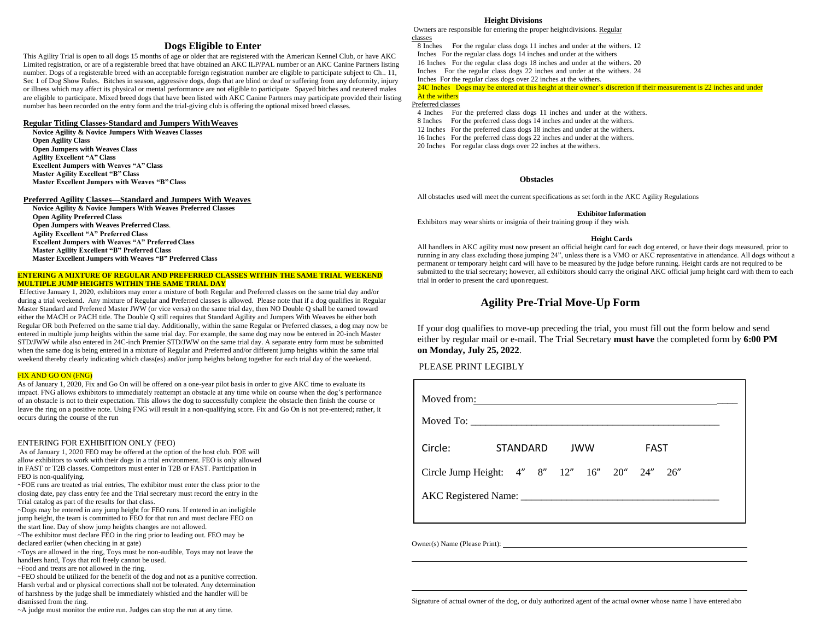#### **Dogs Eligible to Enter**

This Agility Trial is open to all dogs 15 months of age or older that are registered with the American Kennel Club, or have AKC Limited registration, or are of a registerable breed that have obtained an AKC ILP/PAL number or an AKC Canine Partners listing number. Dogs of a registerable breed with an acceptable foreign registration number are eligible to participate subject to Ch., 11, Sec 1 of Dog Show Rules. Bitches in season, aggressive dogs, dogs that are blind or deaf or suffering from any deformity, injury or illness which may affect its physical or mental performance are not eligible to participate. Spayed bitches and neutered males are eligible to participate. Mixed breed dogs that have been listed with AKC Canine Partners may participate provided their listing number has been recorded on the entry form and the trial-giving club is offering the optional mixed breed classes.

#### **Regular Titling Classes-Standard and Jumpers WithWeaves**

**Novice Agility & Novice Jumpers With Weaves Classes Open Agility Class Open Jumpers with Weaves Class Agility Excellent "A" Class Excellent Jumpers with Weaves "A" Class Master Agility Excellent "B" Class Master Excellent Jumpers with Weaves "B"Class**

#### **Preferred Agility Classes—Standard and Jumpers With Weaves**

**Novice Agility & Novice Jumpers With Weaves Preferred Classes Open Agility Preferred Class Open Jumpers with Weaves Preferred Class**. **Agility Excellent "A" Preferred Class Excellent Jumpers with Weaves "A" PreferredClass Master Agility Excellent "B" Preferred Class Master Excellent Jumpers with Weaves "B" Preferred Class**

#### **ENTERING A MIXTURE OF REGULAR AND PREFERRED CLASSES WITHIN THE SAME TRIAL WEEKEND MULTIPLE JUMP HEIGHTS WITHIN THE SAME TRIAL DAY**

Effective January 1, 2020, exhibitors may enter a mixture of both Regular and Preferred classes on the same trial day and/or during a trial weekend. Any mixture of Regular and Preferred classes is allowed. Please note that if a dog qualifies in Regular Master Standard and Preferred Master JWW (or vice versa) on the same trial day, then NO Double Q shall be earned toward either the MACH or PACH title. The Double Q still requires that Standard Agility and Jumpers With Weaves be either both Regular OR both Preferred on the same trial day. Additionally, within the same Regular or Preferred classes, a dog may now be entered in multiple jump heights within the same trial day. For example, the same dog may now be entered in 20-inch Master STD/JWW while also entered in 24C-inch Premier STD/JWW on the same trial day. A separate entry form must be submitted when the same dog is being entered in a mixture of Regular and Preferred and/or different jump heights within the same trial weekend thereby clearly indicating which class(es) and/or jump heights belong together for each trial day of the weekend.

#### FIX AND GO ON (FNG)

As of January 1, 2020, Fix and Go On will be offered on a one-year pilot basis in order to give AKC time to evaluate its impact. FNG allows exhibitors to immediately reattempt an obstacle at any time while on course when the dog's performance of an obstacle is not to their expectation. This allows the dog to successfully complete the obstacle then finish the course or leave the ring on a positive note. Using FNG will result in a non-qualifying score. Fix and Go On is not pre-entered; rather, it occurs during the course of the run

#### ENTERING FOR EXHIBITION ONLY (FEO)

As of January 1, 2020 FEO may be offered at the option of the host club. FOE will allow exhibitors to work with their dogs in a trial environment. FEO is only allowed in FAST or T2B classes. Competitors must enter in T2B or FAST. Participation in FEO is non-qualifying.

~FOE runs are treated as trial entries, The exhibitor must enter the class prior to the closing date, pay class entry fee and the Trial secretary must record the entry in the Trial catalog as part of the results for that class.

~Dogs may be entered in any jump height for FEO runs. If entered in an ineligible jump height, the team is committed to FEO for that run and must declare FEO on the start line. Day of show jump heights changes are not allowed.

~The exhibitor must declare FEO in the ring prior to leading out. FEO may be declared earlier (when checking in at gate)

~Toys are allowed in the ring, Toys must be non-audible, Toys may not leave the handlers hand, Toys that roll freely cannot be used.

~Food and treats are not allowed in the ring.

~FEO should be utilized for the benefit of the dog and not as a punitive correction. Harsh verbal and or physical corrections shall not be tolerated. Any determination of harshness by the judge shall be immediately whistled and the handler will be dismissed from the ring.

~A judge must monitor the entire run. Judges can stop the run at any time.

#### **Height Divisions**

Owners are responsible for entering the proper heightdivisions. Regular classes

8 Inches For the regular class dogs 11 inches and under at the withers. 12

Inches For the regular class dogs 14 inches and under at the withers 16 Inches For the regular class dogs 18 inches and under at the withers. 20

Inches For the regular class dogs 22 inches and under at the withers. 24

Inches For the regular class dogs over 22 inches at the withers.

#### 24C Inches Dogs may be entered at this height at their owner's discretion if their measurement is 22 inches and under

#### At the withers Preferred classes

- 4 Inches For the preferred class dogs 11 inches and under at the withers.
- 8 Inches For the preferred class dogs 14 inches and under at the withers.

12 Inches For the preferred class dogs 18 inches and under at the withers.

16 Inches For the preferred class dogs 22 inches and under at the withers.

20 Inches For regular class dogs over 22 inches at thewithers.

#### **Obstacles**

All obstacles used will meet the current specifications as set forth in the AKC Agility Regulations

#### **Exhibitor Information**

Exhibitors may wear shirts or insignia of their training group if they wish.

#### **Height Cards**

All handlers in AKC agility must now present an official height card for each dog entered, or have their dogs measured, prior to running in any class excluding those jumping 24", unless there is a VMO or AKC representative in attendance. All dogs without a permanent or temporary height card will have to be measured by the judge before running. Height cards are not required to be submitted to the trial secretary; however, all exhibitors should carry the original AKC official jump height card with them to each trial in order to present the card upon request.

# **Agility Pre-Trial Move-Up Form**

If your dog qualifies to move-up preceding the trial, you must fill out the form below and send either by regular mail or e-mail. The Trial Secretary **must have** the completed form by **6:00 PM on Monday, July 25, 2022**.

#### PLEASE PRINT LEGIBLY

| Moved from:                                   |          |  |            |             |  |
|-----------------------------------------------|----------|--|------------|-------------|--|
| Circle:                                       | STANDARD |  | <b>JWW</b> | <b>FAST</b> |  |
| Circle Jump Height: 4" 8" 12" 16" 20" 24" 26" |          |  |            |             |  |
|                                               |          |  |            |             |  |
|                                               |          |  |            |             |  |

Owner(s) Name (Please Print):

Signature of actual owner of the dog, or duly authorized agent of the actual owner whose name I have entered abo

l,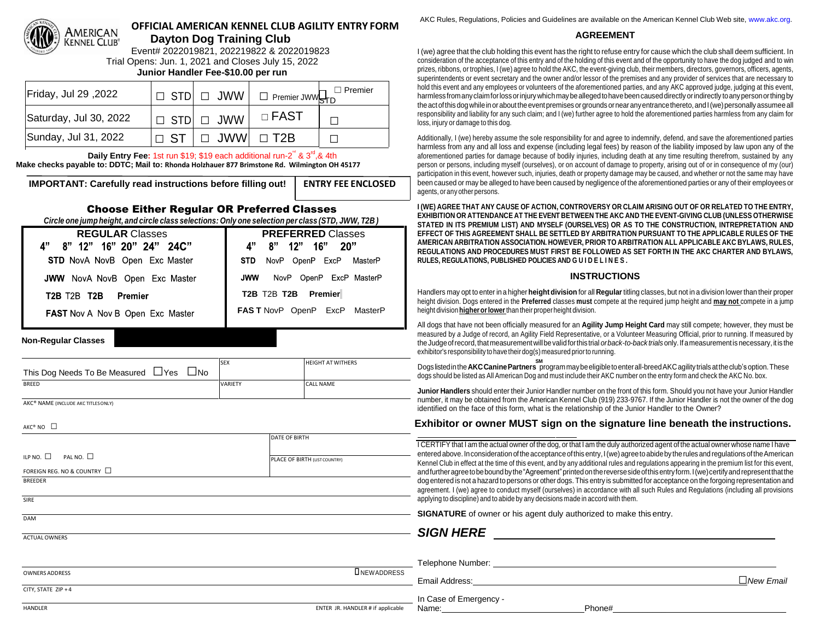

# **OFFICIAL AMERICAN KENNEL CLUB AGILITY ENTRY FORM Dayton Dog Training Club**

Event# 2022019821, 202219822 & 2022019823 Trial Opens: Jun. 1, 2021 and Closes July 15, 2022 **Junior Handler Fee-\$10.00 per run**

| Friday, Jul 29, 2022   |                                 | $\Box$ STD $\Box$ JWW $\Box$ Premier JWW $\Box_{\Gamma}$ | $\Box$ Premier |
|------------------------|---------------------------------|----------------------------------------------------------|----------------|
| Saturday, Jul 30, 2022 | $\Box$ STD $\Box$ JWW           | $\Box$ <code>FAST</code>                                 |                |
| Sunday, Jul 31, 2022   | $\Box$ ST $\Box$ JWW $\Box$ T2B |                                                          |                |

Daily Entry Fee: 1st run \$19; \$19 each additional run-2<sup>de</sup> & 3<sup>rd</sup>, & 4th

**Make checks payable to: DDTC; Mail to: Rhonda Holzhauer 877 Brimstone Rd. Wilmington OH 45177**

**IMPORTANT: Carefully read instructions before filling out! ENTRY FEE ENCLOSED** DD

# Choose Either Regular OR Preferred Classes

*Circle one jump height, and circle class selections: Only one selection per class (STD, JWW, T2B )*

| <b>REGULAR Classes</b>                  | <b>PREFERRED Classes</b>               |  |  |
|-----------------------------------------|----------------------------------------|--|--|
| 4" 8" 12" 16" 20" 24" 24C"              | $8"$ 12" 16"<br><b>A</b> "<br>20"      |  |  |
| <b>STD</b> NovA NovB Open Exc Master    | NovP OpenP ExcP MasterP<br><b>STD</b>  |  |  |
| <b>JWW</b> NovA NovB Open Exc Master    | NovP OpenP ExcP MasterP<br><b>JWW</b>  |  |  |
| <b>T2B T2B T2B</b><br>Premier           | T2B T2B T2B Premier                    |  |  |
| <b>FAST Nov A Nov B Open Exc Master</b> | <b>FAST NovP OpenP ExcP</b><br>MasterP |  |  |

#### **Non-Regular Classes**

| This Dog Needs To Be Measured ∐Yes              | $\Box$ No | <b>SEX</b>     | <b>HEIGHT AT WITHERS</b> |
|-------------------------------------------------|-----------|----------------|--------------------------|
| <b>BREED</b>                                    |           | <b>VARIETY</b> | CALL NAME                |
| AKC <sup>®</sup> NAME (INCLUDE AKC TITLES ONLY) |           |                |                          |

DATE OF BIRTH

PLACE OF BIRTH (LISTCOUNTRY)

AKC® NAME (INCLUDE AKC TITLESONLY)

 $AKC^*$  NO  $\Box$ 

ILP NO. □ PAL NO. □

FOREIGN REG. NO & COUNTRY  $\square$ 

**BREEDER** 

**SIRE** 

DAM

**ACTUAL OWNERS** 

AKC Rules, Regulations, Policies and Guidelines are available on the American Kennel Club Web site, [www.akc.org.](http://www.akc.org/)

### **AGREEMENT**

I (we) agree that the club holding this event has the right to refuse entry for cause which the club shall deem sufficient. In consideration of the acceptance of this entry and of the holding of this event and of the opportunity to have the dog judged and to win prizes, ribbons, or trophies, I (we) agree to hold the AKC, the event-giving club, their members, directors, governors, officers, agents, superintendents or event secretary and the owner and/or lessor of the premises and any provider of services that are necessary to hold this event and any employees or volunteers of the aforementioned parties, and any AKC approved judge, judging at this event, harmlessfromanyclaimforlossorinjurywhichmaybeallegedtohavebeencauseddirectly orindirectly toanypersonorthingby the act of this dog while in or about the event premises or grounds or near any entrance thereto, and I (we) personally assumee all responsibility and liability for any such claim; and I (we) further agree to hold the aforementioned parties harmless from any claim for loss, injury or damage to this dog.

Additionally, I (we) hereby assume the sole responsibility for and agree to indemnify, defend, and save the aforementioned parties harmless from any and all loss and expense (including legal fees) by reason of the liability imposed by law upon any of the aforementioned parties for damage because of bodily injuries, including death at any time resulting therefrom, sustained by any person or persons, including myself (ourselves), or on account of damage to property, arising out of or in consequence of my (our) participation in this event, however such, injuries, death or property damage may be caused, and whether or not the same may have been caused or may be alleged to have been caused by negligence of the aforementioned parties or any of their employees or agents, orany other persons.

I (WE) AGREE THAT ANY CAUSE OF ACTION. CONTROVERSY OR CLAIM ARISING OUT OF OR RELATED TO THE ENTRY. **EXHIBITION OR ATTENDANCE AT THE EVENT BETWEEN THE AKC AND THE EVENT-GIVING CLUB (UNLESS OTHERWISE STATED IN ITS PREMIUM LIST) AND MYSELF (OURSELVES) OR AS TO THE CONSTRUCTION, INTREPRETATION AND EFFECT OF THIS AGREEMENT SHALL BE SETTLED BY ARBITRATION PURSUANT TO THE APPLICABLE RULES OF THE AMERICAN ARBITRATION ASSOCIATION. HOWEVER, PRIOR TO ARBITRATION ALL APPLICABLE AKC BYLAWS, RULES, REGULATIONS AND PROCEDURES MUST FIRST BE FOLLOWED AS SET FORTH IN THE AKC CHARTER AND BYLAWS, RULES, REGULATIONS, PUBLISHED POLICIES AND G U I D E L I N E S .**

# **INSTRUCTIONS**

Handlers may opt to enter in a higher **height division** for all **Regular** titling classes, but not in a division lower than their proper height division. Dogs entered in the **Preferred** classes **must** compete at the required jump height and **may not** compete in a jump height division**higherorlower**than their properheight division.

All dogs that have not been officially measured for an **Agility Jump Height Card** may still compete; however, they must be measured by *a* Judge of record, an Agility Field Representative, or a Volunteer Measuring Official, prior to running. If measured by the Judge of record, that measurement will be valid for this trial *or back-to-back trials* only. If a measurement is necessary, it is the exhibitor's responsibility to have their dog(s) measured prior to running.

**SM** Dogslistedinthe**AKCCaninePartners** programmaybeeligibletoenterall-breedAKCagilitytrials attheclub's option.These dogs should be listed as All American Dog and must include their AKC number on the entry form and check the AKC No. box.

**Junior Handlers** should enter their Junior Handler number on the front of this form. Should you not have your Junior Handler number, it may be obtained from the American Kennel Club (919) 233-9767. If the Junior Handler is not the owner of the dog identified on the face of this form, what is the relationship of the Junior Handler to the Owner?

# **Exhibitor or owner MUST sign on the signature line beneath the instructions.**

I CERTIFY that I am the actual owner of the dog, or that I am the duly authorized agent of the actual owner whose name I have entered above.Inconsideration oftheacceptance ofthis entry,I(we)agreetoabideby therules andregulations oftheAmerican Kennel Club in effect at the time of this event, and by any additional rules and regulations appearing in the premium list for this event, andfurtheragreetobeboundbythe"Agreement"printedonthereversesideofthisentryform.I(we)certifyandrepresentthatthe dog entered is not a hazard to persons or other dogs. This entry is submitted for acceptance on the forgoing representation and agreement. I (we) agree to conduct myself (ourselves) in accordance with all such Rules and Regulations (including all provisions applying to discipline) and to abide by any decisions made in accord with them.

**SIGNATURE** of owner or his agent duly authorized to make this entry.

# *SIGN HERE*

|                     |                                   | Telephone Number:      |        |                  |
|---------------------|-----------------------------------|------------------------|--------|------------------|
| OWNERS ADDRESS      | <b>LINEWADDRESS</b>               |                        |        |                  |
|                     |                                   | Email Address:         |        | $\Box$ New Email |
| CITY, STATE ZIP + 4 |                                   |                        |        |                  |
|                     |                                   | In Case of Emergency - |        |                  |
| HANDLER             | ENTER JR. HANDLER # if applicable | Name:                  | Phone# |                  |